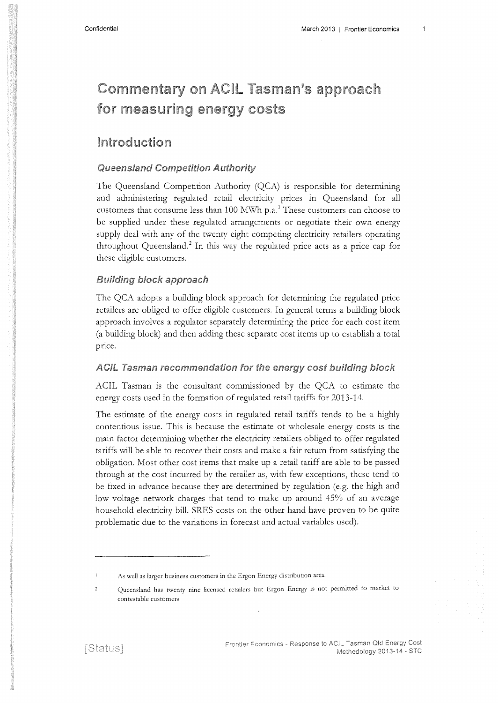# **Commentary on ACIL Tasman's approach** for measuring energy costs

### Introduction

### **Queensland Competition Authority**

The Queensland Competition Authority (QCA) is responsible for determining and administering regulated retail electricity prices in Queensland for all customers that consume less than 100 MWh p.a.<sup>1</sup> These customers can choose to be supplied under these regulated arrangements or negotiate their own energy supply deal with any of the twenty eight competing electricity retailers operating throughout Queensland.<sup>2</sup> In this way the regulated price acts as a price cap for these eligible customers.

### **Building block approach**

The QCA adopts a building block approach for determining the regulated price retailers are obliged to offer eligible customers. In general terms a building block approach involves a regulator separately determining the price for each cost item (a building block) and then adding these separate cost items up to establish a total price.

### ACIL Tasman recommendation for the energy cost building block

ACIL Tasman is the consultant commissioned by the QCA to estimate the energy costs used in the formation of regulated retail tariffs for 2013-14.

The estimate of the energy costs in regulated retail tariffs tends to be a highly contentious issue. This is because the estimate of wholesale energy costs is the main factor determining whether the electricity retailers obliged to offer regulated tariffs will be able to recover their costs and make a fair return from satisfying the obligation. Most other cost items that make up a retail tariff are able to be passed through at the cost incurred by the retailer as, with few exceptions, these tend to be fixed in advance because they are determined by regulation (e.g. the high and low voltage network charges that tend to make up around 45% of an average household electricity bill. SRES costs on the other hand have proven to be quite problematic due to the variations in forecast and actual variables used).

As well as larger business customers in the Ergon Energy distribution area.

Queensland has twenty nine licensed retailers but Ergon Energy is not permitted to market to  $\overline{2}$ contestable customers.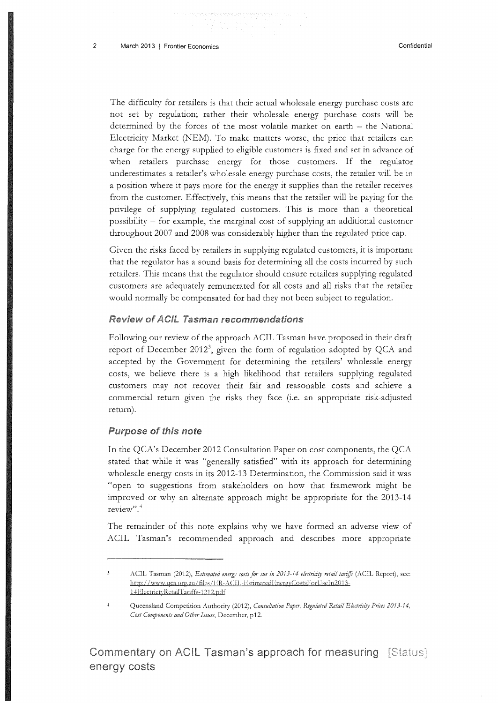The difficulty for retailers is that their actual wholesale energy purchase costs are not set by regulation; rather their wholesale energy purchase costs will be determined by the forces of the most volatile market on earth  $-$  the National Electricity Market (NEM). To make matters worse, the price that retailers can charge for the energy supplied to eligible customers is fixed and set in advance of when retailers purchase energy for those customers. If the regulator underestimates a retailer's wholesale energy purchase costs, the retailer will be in a position where it pays more for the energy it supplies than the retailer receives from the customer. Effectively, this means that the retailer will be paying for the privilege of supplying regulated customers. This is more than a theoretical possibility - for example, the marginal cost of supplying an additional customer throughout 2007 and 2008 was considerably higher than the regulated price cap.

Given the risks faced by retailers in supplying regulated customers, it is important that the regulator has a sound basis for determining all the costs incurred by such retailers. This means that the regulator should ensure retailers supplying regulated customers are adequately remunerated for all costs and all risks that the retailer would normally be compensated for had they not been subject to regulation.

#### **Review of ACIL Tasman recommendations**

Following our review of the approach ACIL Tasman have proposed in their draft report of December 2012<sup>3</sup>, given the form of regulation adopted by QCA and accepted by the Government for determining the retailers' wholesale energy costs, we believe there is a high likelihood that retailers supplying regulated customers may not recover their fair and reasonable costs and achieve a commercial return given the risks they face (i.e. an appropriate risk-adjusted return).

#### Purpose of this note

In the QCA's December 2012 Consultation Paper on cost components, the QCA stated that while it was "generally satisfied" with its approach for determining wholesale energy costs in its 2012-13 Determination, the Commission said it was "open to suggestions from stakeholders on how that framework might be improved or why an alternate approach might be appropriate for the 2013-14 review".<sup>4</sup>

The remainder of this note explains why we have formed an adverse view of ACIL Tasman's recommended approach and describes more appropriate

 $\overline{\mathbf{3}}$ ACIL Tasman (2012), Estimated energy costs for sue in 2013-14 electricity retail tariffs (ACIL Report), see: http://www.qca.org.au/files/ER-ACIL-EstimatedEnergyCostsForUseIn2013-14ElectrictyRetailTariffs-1212.pdf

Queensland Competition Authority (2012), *Consultation Paper*, Regulated Retail Electricity Prices 2013-14, *Cost Components and Other Issues,* December, p 12.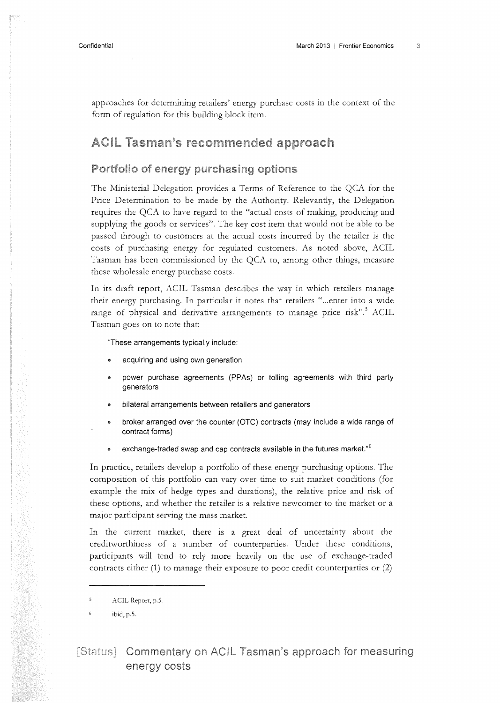approaches for determining retailers' energy purchase costs in the context of the form of regulation for this building block item.

### **ACIL Tasman's recommended approach**

### Portfolio of energy purchasing options

The Ministerial Delegation provides a Terms of Reference to the QCA for the Price Determination to be made by the Authority. Relevantly, the Delegation requires the QCA to have regard to the "actual costs of making, producing and supplying the goods or services". The key cost item that would not be able to be passed through to customers at the actual costs incurred by the retailer is the costs of purchasing energy for regulated customers. As noted above, ACIL Tasman has been commissioned by the QCA to, among other things, measure these wholesale energy purchase costs.

In its draft report, ACIL Tasman describes the way in which retailers manage their energy purchasing. In particular it notes that retailers " ... enter into a wide range of physical and derivative arrangements to manage price risk".<sup>5</sup> ACIL Tasman goes on to note that:

"These arrangements typically include:

- acquiring and using own generation
- power purchase agreements (PPAs) or tolling agreements with third party generators
- bilateral arrangements between retailers and generators
- broker arranged over the counter (OTC) contracts (may include a wide range of contract forms)
- exchange-traded swap and cap contracts available in the futures market."<sup>6</sup>

In practice, retailers develop a portfolio of these energy purchasing options. The composition of this portfolio can vary over time to suit market conditions (for example the mix of hedge types and durations), the relative price and risk of these options, and whether the retailer is a relative newcomer to the market or a major participant serving the mass market.

In the current market, there is a great deal of uncertainty about the creditworthiness of a number of counterparties. Under these conditions, participants will tend to rely more heavily on the use of exchange-traded contracts either (1) to manage their exposure to poor credit counterparties or (2)

### [Status] Commentary on ACIL Tasman's approach for measuring energy costs

<sup>-5</sup> ACIL Report, p.S.

 $\ddot{\mathbf{6}}$ ibid, p.S.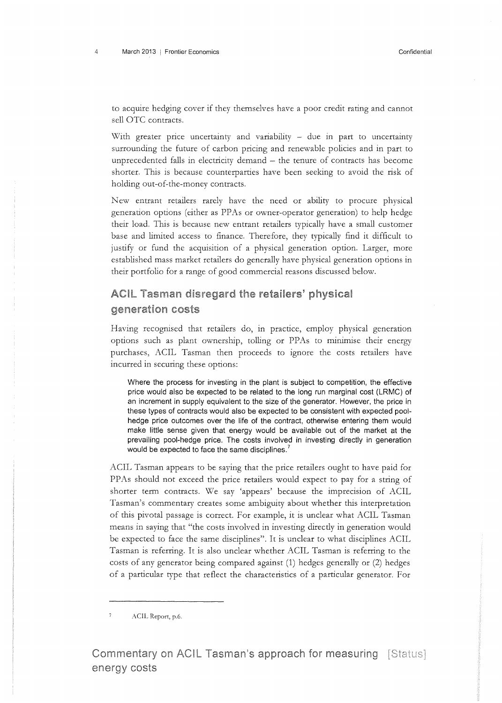to acquire hedging cover if they themselves have a poor credit rating and cannot sell OTC contracts.

With greater price uncertainty and variability - due in part to uncertainty surrounding the future of carbon pricing and renewable policies and in part to unprecedented falls in electricity demand  $-$  the tenure of contracts has become shorter. This is because counterparties have been seeking to avoid the risk of holding out-of-the-money contracts.

New entrant retailers rarely have the need or ability to procure physical generation options (either as PPAs or owner-operator generation) to help hedge their load. This is because new entrant retailers typically have a small customer base and limited access to finance. Therefore, they typically find it difficult to justify or fund the acquisition of a physical generation option. Larger, more established mass market retailers do generally have physical generation options in their portfolio for a range of good commercial reasons discussed below.

### ACIL Tasman disregard the retailers' physical generation costs

Having recognised that retailers do, in practice, employ physical generation options such as plant ownership, tolling or PPAs to minimise their energy purchases, ACIL Tasman then proceeds to ignore the costs retailers have incurred in securing these options:

Where the process for investing in the plant is subject to competition, the effective price would also be expected to be related to the long run marginal cost (LRMC) of an increment in supply equivalent to the size of the generator. However, the price in these types of contracts would also be expected to be consistent with expected poolhedge price outcomes over the life of the contract, otherwise entering them would make little sense given that energy would be available out of the market at the prevailing pool-hedge price. The costs involved in investing directly in generation would be expected to face the same disciplines.<sup>7</sup>

ACIL Tasman appears to be saying that the price retailers ought to have paid for PPAs should not exceed the price retailers would expect to pay for a string of shorter term contracts. We say 'appears' because the imprecision of ACIL Tasman's commentary creates some ambiguity about whether this interpretation of this pivotal passage is correct. For example, it is unclear what ACIL Tasman means in saying that "the costs involved in investing directly in generation would be expected to face the same disciplines". It is unclear to what disciplines ACIL Tasman is referring. It is also unclear whether ACIL Tasman is referring to the costs of any generator being compared against (1) hedges generally or (2) hedges of a particular type that reflect the characteristics of a particular generator. For

ACIL Report, p.6.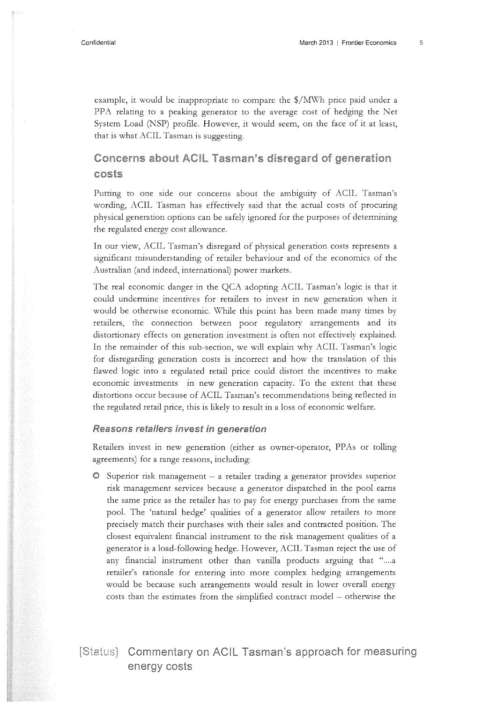example, it would be inappropriate to compare the  $\frac{1}{2}$  MWh price paid under a PPA relating to a peaking generator to the average cost of hedging the Net System Load (NSP) profile. However, it would seem, on the face of it at least, that is what ACIL Tasman is suggesting.

### Concerns about ACIL Tasman's disregard of generation costs

Putting to one side our concerns about the ambiguity of ACIL Tasman's wording, ACIL Tasman has effectively said that the actual costs of procuring physical generation options can be safely ignored for the purposes of determining the regulated energy cost allowance.

In our view, ACIL Tasman's disregard of physical generation costs represents a significant misunderstanding of retailer behaviour and of the economics of the Australian (and indeed, international) power markets.

The real economic danger in the QCA adopting ACIL Tasman's logic is that it could undermine incentives for retailers to invest in new generation when it would be otherwise economic. While this point has been made many times by retailers, the connection between poor regulatory arrangements and its distortionary effects on generation investment is often not effectively explained. In the remainder of this sub-section, we will explain why ACIL Tasman's logic for disregarding generation costs is incorrect and how the translation of this flawed logic into a regulated retail price could distort the incentives to make economic investments in new generation capacity. To the extent that these distortions occur because of ACIL Tasman's recommendations being reflected in the regulated retail price, this is likely to result in a loss of economic welfare.

#### Reasons retailers invest in generation

Retailers invest in new generation (either as owner-operator, PPAs or tolling agreements) for a range reasons, including:

 $\circ$  Superior risk management – a retailer trading a generator provides superior risk management services because a generator dispatched in the pool earns the same price as the retailer has to pay for energy purchases from the same pool. The 'natural hedge' qualities of a generator allow retailers to more precisely match their purchases with their sales and contracted position. The closest equivalent financial instrument to the risk management qualities of a generator is a load-following hedge. However, ACIL Tasman reject the use of any financial instrument other than vanilla products arguing that "....a retailer's rationale for entering into more complex hedging arrangements would be because such arrangements would result in lower overall energy costs than the estimates from the simplified contract model - otherwise the

### [Status] Commentary on ACIL Tasman's approach for measuring energy costs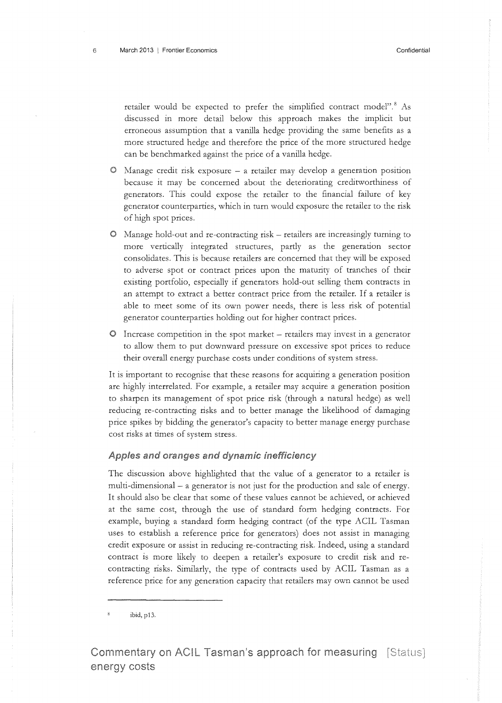retailer would be expected to prefer the simplified contract model".<sup>8</sup> As discussed in more detail below this approach makes the implicit but erroneous assumption that a vanilla hedge providing the same benefits as a more structured hedge and therefore the price of the more structured hedge can be benchmarked agamst the price of a vanilla hedge.

- Manage credit risk exposure a retailer may develop a generation position because it may be concerned about the deteriorating creditworthiness of generators. This could expose the retailer to the financial failure of key generator counterparties, which in turn would exposure the retailer to the risk of high spot prices.
- Manage hold-out and re-contracting risk- retailers are increasingly turning to more vertically integrated structures, partly as the generation sector consolidates. This is because retailers are concerned that they will be exposed to adverse spot or contract prices upon the maturity of tranches of their existing portfolio, especially if generators hold-out selling them contracts in an attempt to extract a better contract price from the retailer. If a retailer is able to meet some of its own power needs, there is less risk of potential generator counterparties holding out for higher contract prices.
- $O$  Increase competition in the spot market retailers may invest in a generator to allow them to put downward pressure on excessive spot prices to reduce their overall energy purchase costs under conditions of system stress.

It is important to recognise that these reasons for acquiring a generation position are highly interrelated. For example, a retailer may acquire a generation position to sharpen its management of spot price risk (through a natural hedge) as well reducing re-contracting risks and to better manage the likelihood of damaging price spikes by bidding the generator's capacity to better manage energy purchase cost risks at times of system stress.

#### Apples and oranges and dynamic inefficiency

The discussion above highlighted that the value of a generator to a retailer is multi-dimensional – a generator is not just for the production and sale of energy. It should also be clear that some of these values cannot be achieved, or achieved at the same cost, through the use of standard form hedging contracts. For example, buying a standard form hedging contract (of the type ACIL Tasman uses to establish a reference price for generators) does not assist in managing credit exposure or assist in reducing re-contracting risk. Indeed, using a standard contract is more likely to deepen a retailer's exposure to credit risk and recontracting risks. Similarly, the type of contracts used by ACIL Tasman as a reference price for any generation capacity that retailers may own cannot be used

ibid, p13.

Commentary on ACIL Tasman's approach for measuring [Status] energy costs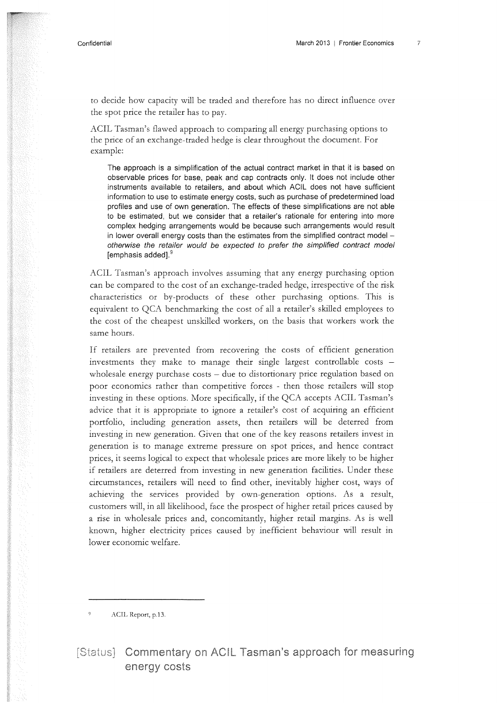to decide how capacity will be traded and therefore has no direct influence over the spot price the retailer has to pay.

ACIL Tasman's flawed approach to comparing all energy purchasing options to the price of an exchange-traded hedge is clear throughout the document. For example:

The approach is a simplification of the actual contract market in that it is based on observable prices for base, peak and cap contracts only. It does not include other instruments available to retailers, and about which ACIL does not have sufficient information to use to estimate energy costs, such as purchase of predetermined load profiles and use of own generation. The effects of these simplifications are not able to be estimated, but we consider that a retailer's rationale for entering into more complex hedging arrangements would be because such arrangements would result in lower overall energy costs than the estimates from the simplified contract model  $$ otherwise the retailer would be expected to prefer the simplified contract model [emphasis added].<sup>9</sup>

ACIL Tasman's approach involves assuming that any energy purchasing option can be compared to the cost of an exchange-traded hedge, irrespective of the risk characteristics or by-products of these other purchasing options. This is equivalent to QCA benchmarking the cost of all a retailer's skilled employees to the cost of the cheapest unskilled workers, on the basis that workers work the same hours.

If retailers are prevented from recovering the costs of efficient generation investments they make to manage their single largest controllable costs  $$ wholesale energy purchase costs - due to distortionary price regulation based on poor economics rather than competitive forces - then those retailers will stop investing in these options. More specifically, if the QCA accepts ACIL Tasman's advice that it is appropriate to ignore a retailer's cost of acquiring an efficient portfolio, including generation assets, then retailers will be deterred from investing in new generation. Given that one of the key reasons retailers invest in generation is to manage extreme pressure on spot prices, and hence contract prices, it seems logical to expect that wholesale prices are more likely to be higher if retailers are deterred from investing in new generation facilities. Under these circumstances, retailers will need to find other, inevitably higher cost, ways of achieving the services provided by own-generation options. As a result, customers will, in all likelihood, face the prospect of higher retail prices caused by a rise in wholesale prices and, concomitantly, higher retail margins. As is well known, higher electricity prices caused by inefficient behaviour will result in lower economic welfare.

ACIL Report, p.13.

[Status] Commentary on ACIL Tasman's approach for measuring energy costs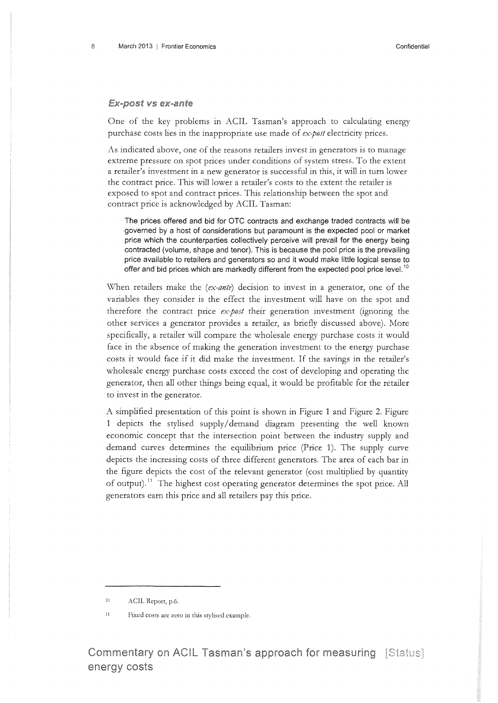#### Ex-post vs ex-ante

One of the key problems in ACIL Tasman's approach to calculating energy purchase costs lies in the inappropriate use made of *ex-post* electricity prices.

As indicated above, one of the reasons retailers invest in generators is to manage extreme pressure on spot prices under conditions of system stress. To the extent a retailer's investment in a new generator is successful in this, it will in turn lower the contract price. This will lower a retailer's costs to the extent the retailer is exposed to spot and contract prices. This relationship between the spot and contract price is acknowledged by ACIL Tasman:

The prices offered and bid for OTC contracts and exchange traded contracts will be governed by a host of considerations but paramount is the expected pool or market price which the counterparties collectively perceive will prevail for the energy being contracted (volume, shape and tenor). This is because the pool price is the prevailing price available to retailers and generators so and it would make little logical sense to offer and bid prices which are markedly different from the expected pool price level.<sup>10</sup>

When retailers make the *(ex-ante)* decision to invest in a generator, one of the variables they consider is the effect the investment will have on the spot and therefore the contract price *ex-post* their generation investment (ignoring the other services a generator provides a retailer, as briefly discussed above). More specifically, a retailer will compare the wholesale energy purchase costs it would face in the absence of making the generation investment to the energy purchase costs it would face if it did make the investment. If the savings in the retailer's wholesale energy purchase costs exceed the cost of developing and operating the generator, then all other things being equal, it would be profitable for the retailer to invest in the generator.

A simplified presentation of this point is shown in Figure 1 and Figure 2. Figure 1 depicts the stylised supply/ demand diagram presenting the well known economic concept that the intersection point between the industry supply and demand curves determines the equilibrium price (Price 1). The supply curve depicts the increasing costs of three different generators. The area of each bar in the figure depicts the cost of the relevant generator (cost multiplied by quantity of output).<sup>11</sup> The highest cost operating generator determines the spot price. All generators earn this price and all retailers pay this price.

<sup>10</sup> ACIL Report, p.6.

<sup>11</sup> Fixed costs arc zero m this stylised example.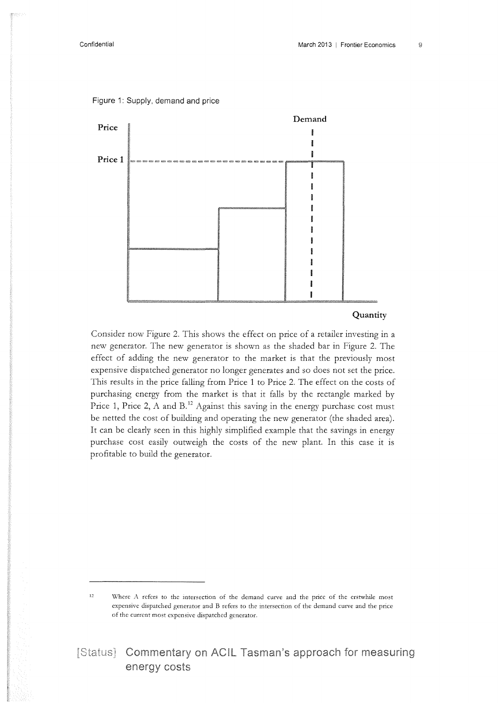

Figure 1: Supply, demand and price

### **Quantity**

Consider now Figure 2. This shows the effect on price of a retailer investing in a new generator. The new generator is shown as the shaded bar in Figure 2. The effect of adding the new generator to the market is that the previously most expensive dispatched generator no longer generates and so does not set the price. This results in the price falling from Price 1 to Price 2. The effect on the costs of purchasing energy from the market is that it falls by the rectangle marked by Price 1, Price 2, A and B.<sup>12</sup> Against this saving in the energy purchase cost must be netted the cost of building and operating the new generator (the shaded area). It can be clearly seen in this highly simplified example that the savings in energy purchase cost easily outweigh the costs of the new plant. In this case it is profitable to build the generator.

<sup>&</sup>lt;sup>12</sup> Where *A* refers to the intersection of the demand curve and the price of the erstwhile most expensive dispatched generator and B refers to the intersection of the demand curve and the price of the current most expensive dispatched generator.

<sup>[</sup>Status] Commentary on ACIL Tasman's approach for measuring energy costs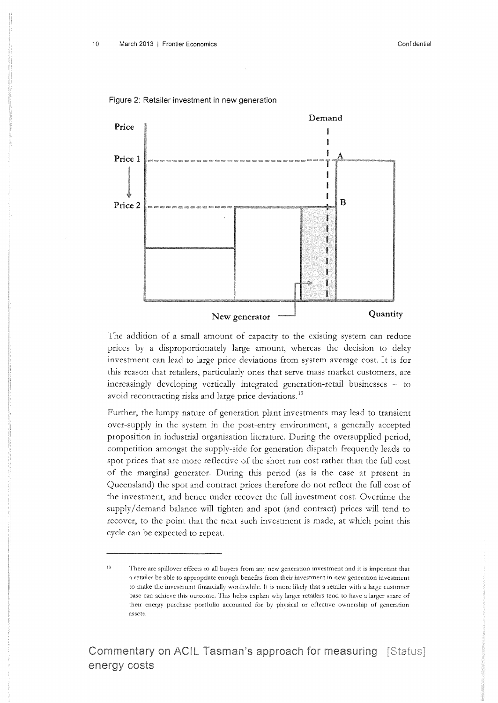#### Figure 2: Retailer investment in new generation



The addition of a small amount of capacity to the existing system can reduce prices by a disproportionately large amount, whereas the decision to delay investment can lead to large price deviations from system average cost. It is for this reason that retailers, particularly ones that serve mass market customers, are increasingly developing vertically integrated generation-retail businesses - to avoid recontracting risks and large price deviations.<sup>13</sup>

Further, the lumpy nature of generation plant investments may lead to transient over-supply in the system in the post-entry environment, a generally accepted proposition in industrial organisation literature. During the oversupplied period, competition amongst the supply-side for generation dispatch frequently leads to spot prices that are more reflective of the short run cost rather than the full cost of the marginal generator. During this period (as is the case at present in Queensland) the spot and contract prices therefore do not reflect the full cost of the investment, and hence under recover the full investment cost. Overtime the supply/ demand balance will tighten and spot (and contract) prices will tend to recover, to the point that the next such investment is made, at which point this cycle can be expected to repeat.

<sup>13</sup> There are spillover effects to all buyers from any new generation investment and it is important that a retailer be able to appropriate enough benefits from their investment in new generation investment to make the investment financially worthwhile. lt is more likely that a retailer with a large customer base can achieve this outcome. This helps explain why larger retailers tend to have a larger share of their energy purchase portfolio accounted for by physical or effective ownership of generation assets.

Commentary on ACIL Tasman's approach for measuring [Status] energy costs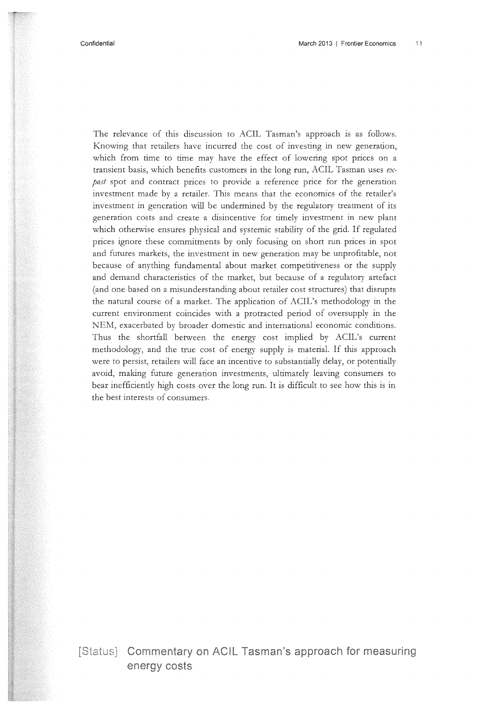The relevance of this discussion to ACIL Tasman's approach is as follows. Knowing that retailers have incurred the cost of investing in new generation, which from time to time may have the effect of lowering spot prices on a transient basis, which benefits customers in the long run, ACIL Tasman uses *expost* spot and contract prices to provide a reference price for the generation investment made by a retailer. This means that the economics of the retailer's investment in generation will be undermined by the regulatory treatment of its generation costs and create a disincentive for timely investment in new plant which otherwise ensures physical and systemic stability of the grid. If regulated prices ignore these commitments by only focusing on short run prices in spot and futures markets, the investment in new generation may be unprofitable, not because of anything fundamental about market competitiveness or the supply and demand characteristics of the market, but because of a regulatory artefact (and one based on a misunderstanding about retailer cost structures) that disrupts the natural course of a market. The application of ACIL's methodology in the current environment coincides with a protracted period of oversupply in the NEM, exacerbated by broader domestic and international economic conditions. Thus the shortfall between the energy cost implied by ACIL's current methodology, and the true cost of energy supply is materiaL If this approach were to persist, retailers will face an incentive to substantially delay, or potentially avoid, making future generation investments, ultimately leaving consumers to bear inefficiendy high costs over the long run. It is difficult to see how this is in the best interests of consumers.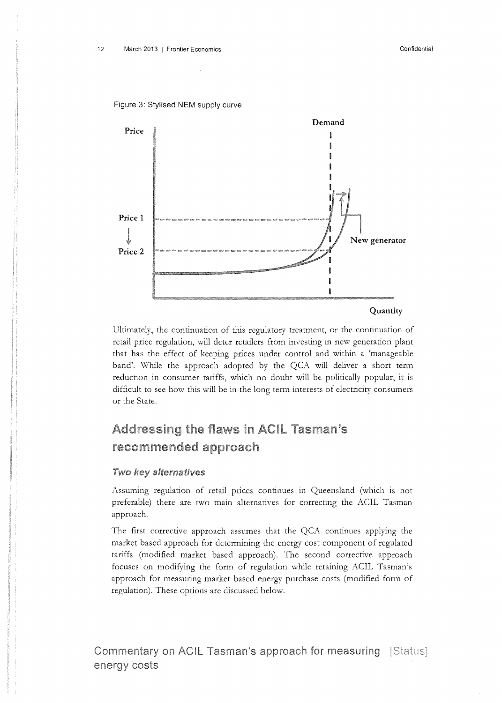



Ultimately, the continuation of this regulatory treatment, or the continuation of retail price regulation, will deter retailers from investing in new generation plant that has the effect of keeping prices under control and within a 'manageable band'. While the approach adopted by the QCA will deliver a short term reduction in consumer tariffs, which no doubt will be politically popular, it is difficult to see how this will be in the long term interests of electricity consumers or the State.

## Addressing the flaws in ACIL Tasman's recommended approach

### Two key alternatives

Assuming regulation of retail prices continues in Queensland (which is not preferable) there are two main alternatives for correcting the ACIL Tasman approach.

The first corrective approach assumes that the QCA continues applying the market based approach for determining the energy cost component of regulated tariffs (modified market based approach). The second corrective approach focuses on modifying the form of regulation while retaining ACIL Tasman's approach for measuring market based energy purchase costs (modified form of regulation). These options are discussed below.

Commentary on ACIL Tasman's approach for measuring [Status] energy costs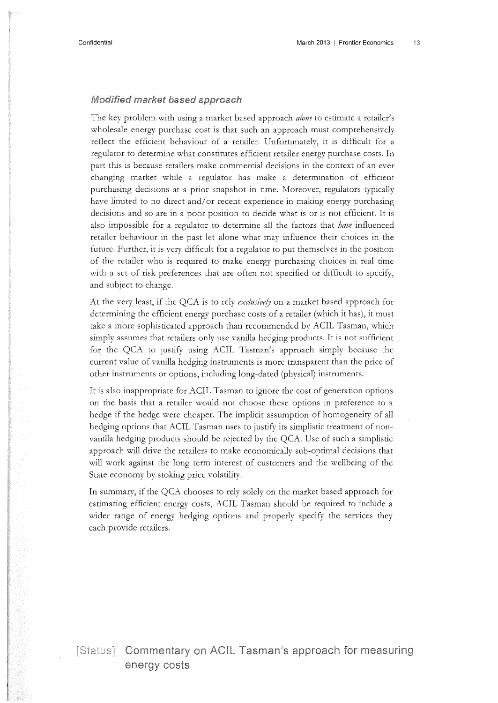#### Modified market based approach

The key problem with using a market based approach *alone* to estimate a retailer's wholesale energy purchase cost is that such an approach must comprehensively reflect the efficient behaviour of a retailer. Unfortunately, it is difficult for a regulator to determine what constitutes efficient retailer energy purchase costs. In part this is because retailers make commercial decisions in the context of an ever changing market while a regulator has make a determination of efficient purchasing decisions at a prior snapshot in time. Moreover, regulators typically have limited to no direct and/or recent experience in making energy purchasing decisions and so are in a poor position to decide what is or is not efficient. It is also impossible for a regulator to determine all the factors that *have* influenced retailer behaviour in the past let alone what may influence their choices in the future. Further, it is very difficult for a regulator to put themselves in the position of the retailer who is required to make energy purchasing choices in real time with a set of risk preferences that are often not specified or difficult to specify, and subject to change.

At the very least, if the QCA is to rely *exdusive!J* on a market based approach for determining the efficient energy purchase costs of a retailer (which it has), it must take a more sophisticated approach than recommended by ACIL Tasman, which simply assumes that retailers only use vanilla hedging products. It is not sufficient for the QCA to justify using ACIL Tasman's approach simply because the current value of vanilla hedging instruments is more transparent than the price of other instruments or options, including long-dated (physical) instruments.

It is also inappropriate for ACIL Tasman to ignore the cost of generation options on the basis that a retailer would not choose these options in preference to a hedge if the hedge were cheaper. The implicit assumption of homogeneity of all hedging options that ACIL Tasman uses to justify its simplistic treatment of nonvanilla hedging products should be rejected by the QCA. Use of such a simplistic approach will drive the retailers to make economically sub-optimal decisions that will work against the long term interest of customers and the wellbeing of the State economy by stoking price volatility.

In summary, if the QCA chooses to rely solely on the market based approach for estimating efficient energy costs, ACIL Tasman should be required to include a wider range of energy hedging options and properly specify the services they each provide retailers.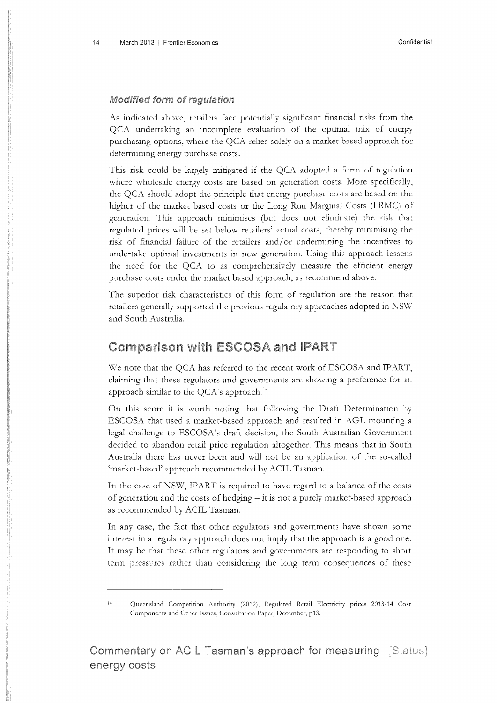#### **Modified form of regulation**

As indicated above, retailers face potentially significant financial risks from the QCA undertaking an incomplete evaluation of the optimal mix of energy purchasing options, where the QCA relies solely on a market based approach for determining energy purchase costs.

This risk could be largely mitigated if the QCA adopted a form of regulation where wholesale energy costs are based on generation costs. More specifically, the QCA should adopt the principle that energy purchase costs are based on the higher of the market based costs or the Long Run Marginal Costs (LRMC) of generation. This approach minimises (but does not eliminate) the risk that regulated prices will be set below retailers' actual costs, thereby minimising the risk of financial failure of the retailers and/ or undermining the incentives to undertake optimal investments in new generation. Using this approach lessens the need for the QCA to as comprehensively measure the efficient energy purchase costs under the market based approach, as recommend above.

The superior risk characteristics of this form of regulation are the reason that retailers generally supported the previous regulatory approaches adopted in NSW and South Australia.

### **Comparison with ESCOSA and IPART**

We note that the QCA has referred to the recent work of ESCOSA and IPART, claiming that these regulators and governments are showing a preference for an approach similar to the  $QCA$ 's approach.<sup>14</sup>

On this score it is worth noting that following the Draft Determination by ESCOSA that used a market-based approach and resulted in AGL mounting a legal challenge to ESCOSA's draft decision, the South Australian Government decided to abandon retail price regulation altogether. This means that in South Australia there has never been and will not be an application of the so-called 'market-based' approach recommended by ACIL Tasman.

In the case of NSW, IPART is required to have regard to a balance of the costs of generation and the costs of hedging - it is not a purely market-based approach as recommended by ACIL Tasman.

In any case, the fact that other regulators and governments have shown some interest in a regulatory approach does not imply that the approach is a good one. It may be that these other regulators and governments are responding to short term pressures rather than considering the long term consequences of these

<sup>14</sup> Queensland Competition Authority (2012), Regulated Retail Electricity prices 2013-14 Cost Components and Other Issues, Consultation Paper, December, p13.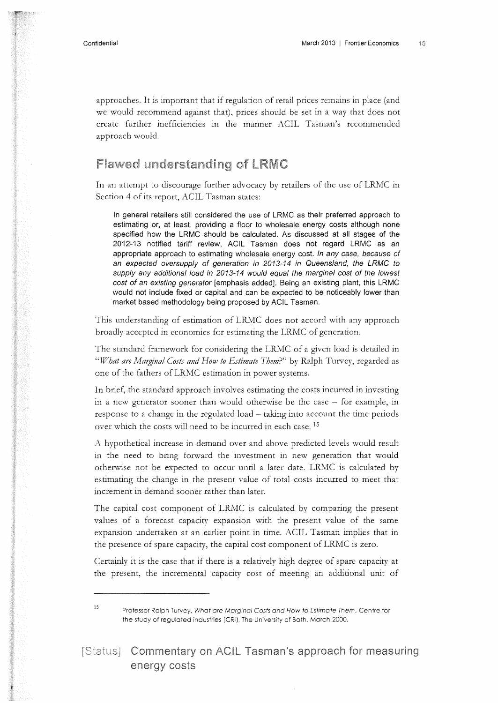approaches. It is important that if regulation of retail prices remains in place (and we would recommend against that), prices should be set in a way that does not create further inefficiencies in the manner ACIL Tasman's recommended approach would.

### **Flawed understanding of LRMC**

In an attempt to discourage further advocacy by retailers of the use of LRMC in Section 4 of its report, ACIL Tasman states:

In general retailers still considered the use of LRMC as their preferred approach to estimating or, at least, providing a floor to wholesale energy costs although none specified how the LRMC should be calculated. As discussed at all stages of the 2012-13 notified tariff review, ACIL Tasman does not regard LRMC as an appropriate approach to estimating wholesale energy cost. In any case, because of an expected oversupply of generation in 2013-14 in Queensland, the LRMC to supply any additional load in 2013-14 would equal the marginal cost of the lowest cost of an existing generator [emphasis added]. Being an existing plant, this LRMC would not include fixed or capital and can be expected to be noticeably lower than market based methodology being proposed by ACIL Tasman.

This understanding of estimation of LRMC does not accord with any approach broadly accepted in economics for estimating the LRMC of generation.

The standard framework for considering the LRMC of a given load is detailed in *"What are Marginal Costs and How to Estimate Tbem?"* by Ralph Turvey, regarded as one of the fathers of LRMC estimation in power systems.

In brief, the standard approach involves estimating the costs incurred in investing in a new generator sooner than would otherwise be the case - for example, in response to a change in the regulated load - taking into account the time periods over which the costs will need to be incurred in each case. <sup>15</sup>

A hypothetical increase in demand over and above predicted levels would result in the need to bring forward the investment in new generation that would otherwise not be expected to occur until a later date. LRMC is calculated by estimating the change in the present value of total costs incurred to meet that increment in demand sooner rather than later.

The capital cost component of LRMC is calculated by comparing the present values of a forecast capacity expansion with the present value of the same expansion undertaken at an earlier point in time. ACIL Tasman implies that in the presence of spare capacity, the capital cost component of LRMC is zero.

Certainly it is the case that if there is a relatively high degree of spare capacity at the present, the incremental capacity cost of meeting an additional unit of

[Status] Commentary on ACIL Tasman's approach for measuring energy costs

<sup>&</sup>lt;sup>15</sup>Professor Ralph Turvey, What are Marginal Costs and How to Estimate Them, Centre for the study of regulated industries (CRI), The University of Bath, March 2000.